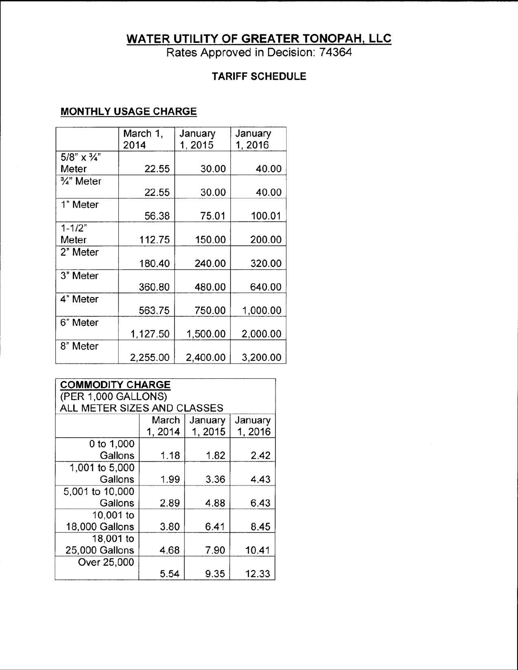# **WATER UTILITY OF GREATER TONOPAH, LLC**

Rates Approved in Decision: 74364

## **TARIFF SCHEDULE**

## **MONTHLY USAGE CHARGE**

|                           | March 1,<br>2014 | January<br>1,2015 | January<br>1,2016 |
|---------------------------|------------------|-------------------|-------------------|
| $5/8$ " x $\frac{3}{4}$ " |                  |                   |                   |
| Meter                     | 22.55            | 30.00             | 40.00             |
| $\frac{3}{4}$ " Meter     | 22.55            | 30.00             | 40.00             |
| 1" Meter                  | 56.38            | 75.01             | 100.01            |
| $1 - 1/2"$                |                  |                   |                   |
| Meter                     | 112.75           | 150.00            | 200.00            |
| 2" Meter                  | 180.40           | 240.00            | 320.00            |
| 3" Meter                  | 360.80           | 480.00            | 640.00            |
| 4" Meter                  | 563.75           | 750.00            | 1,000.00          |
| 6" Meter                  | 1,127.50         | 1,500.00          | 2,000.00          |
| 8" Meter                  | 2,255.00         | 2,400.00          | 3,200.00          |

| <b>COMMODITY CHARGE</b><br>(PER 1,000 GALLONS) |         |         |         |
|------------------------------------------------|---------|---------|---------|
| ALL METER SIZES AND CLASSES                    |         |         |         |
|                                                | March   | January | January |
|                                                | 1, 2014 | 1, 2015 | 1,2016  |
| 0 to 1,000                                     |         |         |         |
| Gallons                                        | 1.18    | 1.82    | 2.42    |
| 1,001 to 5,000                                 |         |         |         |
| Gallons                                        | 1.99    | 3.36    | 4.43    |
| 5,001 to 10,000                                |         |         |         |
| Gallons                                        | 2.89    | 4.88    | 6.43    |
| 10,001 to                                      |         |         |         |
| 18,000 Gallons                                 | 3.80    | 6.41    | 8.45    |
| 18,001 to                                      |         |         |         |
| 25,000 Gallons                                 | 4.68    | 7.90    | 10.41   |
| Over 25,000                                    |         |         |         |
|                                                | 5.54    | 9.35    | 12.33   |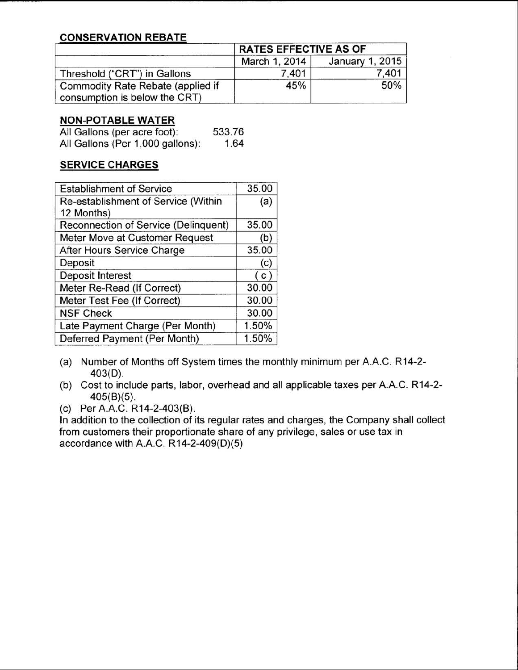### **CONSERVATION REBATE**

|                                                                    | <b>RATES EFFECTIVE AS OF</b> |                 |
|--------------------------------------------------------------------|------------------------------|-----------------|
|                                                                    | March 1, 2014                | January 1, 2015 |
| Threshold ("CRT") in Gallons                                       | 7.401                        | 7.401           |
| Commodity Rate Rebate (applied if<br>consumption is below the CRT) | 45%                          | 50%             |

#### **NON-POTABLE WATER**

| All Gallons (per acre foot):     | 533.76 |
|----------------------------------|--------|
| All Gallons (Per 1,000 gallons): | 1.64   |

#### **SERVICE CHARGES**

| <b>Establishment of Service</b>      | 35.00 |
|--------------------------------------|-------|
| Re-establishment of Service (Within  | (a)   |
| 12 Months)                           |       |
| Reconnection of Service (Delinquent) | 35.00 |
| Meter Move at Customer Request       | (b)   |
| After Hours Service Charge           | 35.00 |
| Deposit                              | (c)   |
| Deposit Interest                     | (c)   |
| Meter Re-Read (If Correct)           | 30.00 |
| Meter Test Fee (If Correct)          | 30.00 |
| <b>NSF Check</b>                     | 30.00 |
| Late Payment Charge (Per Month)      | 1.50% |
| Deferred Payment (Per Month)         | 1.50% |

- (a) Number of Months off System times the monthly minimum per A.A.C. R14-2- 403(D).
- (b) Cost to include parts, labor, overhead and all applicable taxes per A.A.C. R14-2- 405(B)(5).
- (c) Per A.A.c. R14-2-403(B).

In addition to the collection of its regular rates and charges, the Company shall collect from customers their proportionate share of any privilege, sales or use tax in accordance with A.A.C. R14-2-409(D)(5)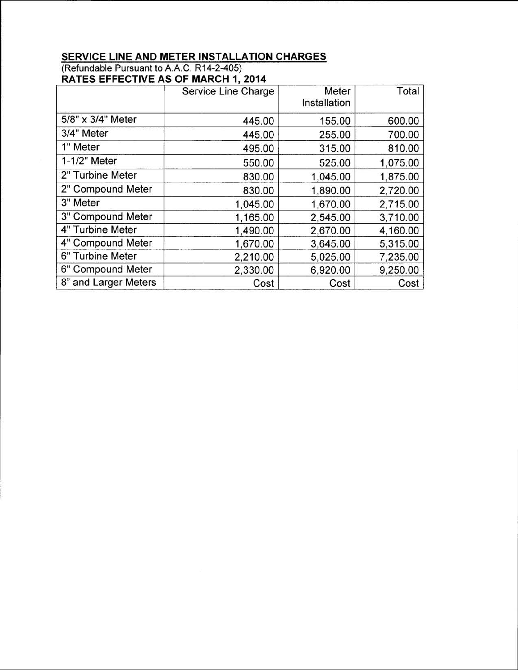#### **SERVICE LINE AND METER INSTALLATION CHARGES** (Refundable Pursuant to **A.A.C.**R14-2-405) **RATES EFFECTIVE AS OF MARCH 1, 2014**

|                      | Service Line Charge | Meter<br>Installation | Total    |
|----------------------|---------------------|-----------------------|----------|
| 5/8" x 3/4" Meter    | 445.00              | 155.00                | 600.00   |
| 3/4" Meter           | 445.00              | 255.00                | 700.00   |
| 1" Meter             | 495.00              | 315.00                | 810.00   |
| 1-1/2" Meter         | 550.00              | 525.00                | 1,075.00 |
| 2" Turbine Meter     | 830.00              | 1,045.00              | 1,875.00 |
| 2" Compound Meter    | 830.00              | 1,890.00              | 2,720.00 |
| 3" Meter             | 1,045.00            | 1,670.00              | 2,715.00 |
| 3" Compound Meter    | 1,165.00            | 2,545.00              | 3,710.00 |
| 4" Turbine Meter     | 1,490.00            | 2,670.00              | 4,160.00 |
| 4" Compound Meter    | 1,670.00            | 3,645.00              | 5,315.00 |
| 6" Turbine Meter     | 2,210.00            | 5,025.00              | 7,235.00 |
| 6" Compound Meter    | 2,330.00            | 6,920.00              | 9,250.00 |
| 8" and Larger Meters | Cost                | Cost                  | Cost     |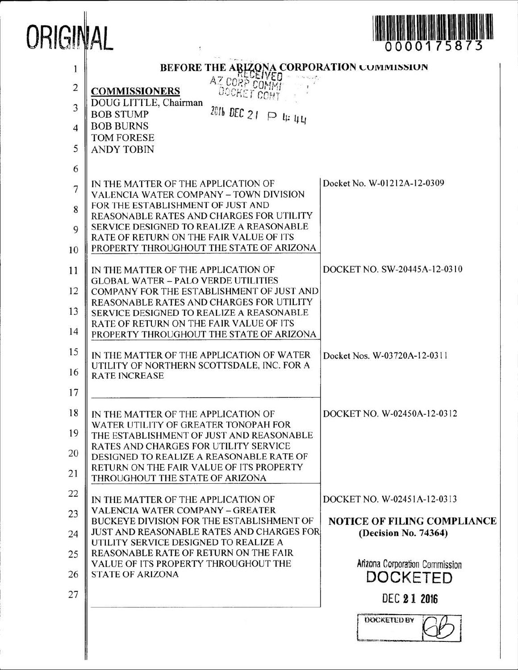

| 1<br>$\overline{c}$<br>3<br>4<br>5 | BEFORE THE ARIZONA CORPORATION COMMISSION<br>AZ CORP COMMI<br><b>COMMISSIONERS</b><br>DOCKET CONT<br>DOUG LITTLE, Chairman<br>2016 DEC 21 P 4: 44<br><b>BOB STUMP</b><br><b>BOB BURNS</b><br><b>TOM FORESE</b><br><b>ANDY TOBIN</b>                                                                                                                                                                                              |                                                                                                                                                                |
|------------------------------------|----------------------------------------------------------------------------------------------------------------------------------------------------------------------------------------------------------------------------------------------------------------------------------------------------------------------------------------------------------------------------------------------------------------------------------|----------------------------------------------------------------------------------------------------------------------------------------------------------------|
| 6<br>7<br>8<br>$\Omega$<br>10      | IN THE MATTER OF THE APPLICATION OF<br>VALENCIA WATER COMPANY - TOWN DIVISION<br>FOR THE ESTABLISHMENT OF JUST AND<br>REASONABLE RATES AND CHARGES FOR UTILITY<br>SERVICE DESIGNED TO REALIZE A REASONABLE<br>RATE OF RETURN ON THE FAIR VALUE OF ITS<br>PROPERTY THROUGHOUT THE STATE OF ARIZONA                                                                                                                                | Docket No. W-01212A-12-0309                                                                                                                                    |
| 11<br>12<br>13<br>14<br>15<br>16   | IN THE MATTER OF THE APPLICATION OF<br><b>GLOBAL WATER - PALO VERDE UTILITIES</b><br>COMPANY FOR THE ESTABLISHMENT OF JUST AND<br>REASONABLE RATES AND CHARGES FOR UTILITY<br>SERVICE DESIGNED TO REALIZE A REASONABLE<br>RATE OF RETURN ON THE FAIR VALUE OF ITS<br>PROPERTY THROUGHOUT THE STATE OF ARIZONA<br>IN THE MATTER OF THE APPLICATION OF WATER<br>UTILITY OF NORTHERN SCOTTSDALE, INC. FOR A<br><b>RATE INCREASE</b> | DOCKET NO. SW-20445A-12-0310<br>Docket Nos. W-03720A-12-0311                                                                                                   |
| 17<br>18<br>19<br>20<br>21         | IN THE MATTER OF THE APPLICATION OF<br>WATER UTILITY OF GREATER TONOPAH FOR<br>THE ESTABLISHMENT OF JUST AND REASONABLE<br><b>RATES AND CHARGES FOR UTILITY SERVICE</b><br>DESIGNED TO REALIZE A REASONABLE RATE OF<br>RETURN ON THE FAIR VALUE OF ITS PROPERTY<br>THROUGHOUT THE STATE OF ARIZONA                                                                                                                               | DOCKET NO. W-02450A-12-0312                                                                                                                                    |
| 22<br>23<br>24<br>25<br>26<br>27   | IN THE MATTER OF THE APPLICATION OF<br><b>VALENCIA WATER COMPANY - GREATER</b><br>BUCKEYE DIVISION FOR THE ESTABLISHMENT OF<br><b>JUST AND REASONABLE RATES AND CHARGES FOR</b><br>UTILITY SERVICE DESIGNED TO REALIZE A<br>REASONABLE RATE OF RETURN ON THE FAIR<br>VALUE OF ITS PROPERTY THROUGHOUT THE<br><b>STATE OF ARIZONA</b>                                                                                             | DOCKET NO. W-02451A-12-0313<br><b>NOTICE OF FILING COMPLIANCE</b><br>(Decision No. 74364)<br>Arizona Corporation Commission<br>DOCKETED<br><b>DEC 2 1 2016</b> |
|                                    |                                                                                                                                                                                                                                                                                                                                                                                                                                  | DOCKETED BY                                                                                                                                                    |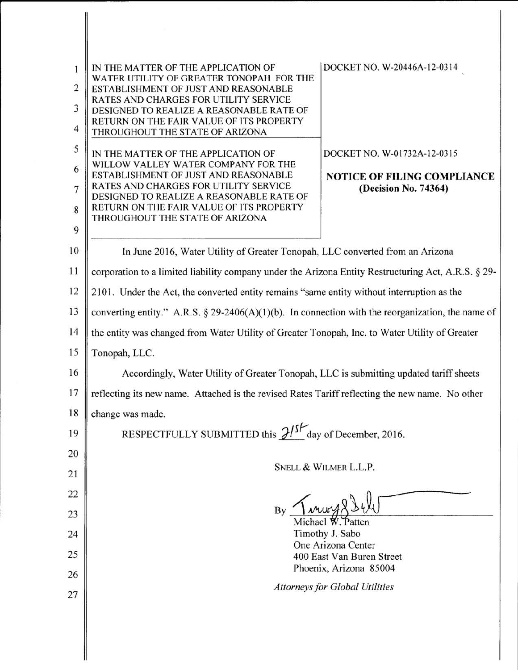| 1<br>$\overline{2}$<br>3 | DOCKET NO. W-20446A-12-0314<br>IN THE MATTER OF THE APPLICATION OF<br>WATER UTILITY OF GREATER TONOPAH FOR THE<br>ESTABLISHMENT OF JUST AND REASONABLE<br>RATES AND CHARGES FOR UTILITY SERVICE<br>DESIGNED TO REALIZE A REASONABLE RATE OF<br>RETURN ON THE FAIR VALUE OF ITS PROPERTY |                                    |  |
|--------------------------|-----------------------------------------------------------------------------------------------------------------------------------------------------------------------------------------------------------------------------------------------------------------------------------------|------------------------------------|--|
| $\overline{4}$           | THROUGHOUT THE STATE OF ARIZONA                                                                                                                                                                                                                                                         |                                    |  |
| 5                        | DOCKET NO. W-01732A-12-0315<br>IN THE MATTER OF THE APPLICATION OF                                                                                                                                                                                                                      |                                    |  |
| 6                        | WILLOW VALLEY WATER COMPANY FOR THE<br>ESTABLISHMENT OF JUST AND REASONABLE                                                                                                                                                                                                             | <b>NOTICE OF FILING COMPLIANCE</b> |  |
| 7                        | RATES AND CHARGES FOR UTILITY SERVICE<br>(Decision No. 74364)<br>DESIGNED TO REALIZE A REASONABLE RATE OF                                                                                                                                                                               |                                    |  |
| 8                        | RETURN ON THE FAIR VALUE OF ITS PROPERTY<br>THROUGHOUT THE STATE OF ARIZONA                                                                                                                                                                                                             |                                    |  |
| 9                        |                                                                                                                                                                                                                                                                                         |                                    |  |
| 10                       | In June 2016, Water Utility of Greater Tonopah, LLC converted from an Arizona                                                                                                                                                                                                           |                                    |  |
| 11                       | corporation to a limited liability company under the Arizona Entity Restructuring Act, A.R.S. § 29-                                                                                                                                                                                     |                                    |  |
| 12                       | 2101. Under the Act, the converted entity remains "same entity without interruption as the                                                                                                                                                                                              |                                    |  |
| 13                       | converting entity." A.R.S. § 29-2406(A)(1)(b). In connection with the reorganization, the name of                                                                                                                                                                                       |                                    |  |
| 14                       | the entity was changed from Water Utility of Greater Tonopah, Inc. to Water Utility of Greater                                                                                                                                                                                          |                                    |  |
| 15                       | Tonopah, LLC.                                                                                                                                                                                                                                                                           |                                    |  |
| 16                       | Accordingly, Water Utility of Greater Tonopah, LLC is submitting updated tariff sheets                                                                                                                                                                                                  |                                    |  |
| 17                       | reflecting its new name. Attached is the revised Rates Tariff reflecting the new name. No other                                                                                                                                                                                         |                                    |  |
| 18                       | change was made.                                                                                                                                                                                                                                                                        |                                    |  |
| 19                       | RESPECTFULLY SUBMITTED this $2^{15}$ day of December, 2016.                                                                                                                                                                                                                             |                                    |  |
| 20                       |                                                                                                                                                                                                                                                                                         |                                    |  |
| 21                       | SNELL & WILMER L.L.P.                                                                                                                                                                                                                                                                   |                                    |  |
| 22                       |                                                                                                                                                                                                                                                                                         |                                    |  |
| 23                       | $By \n  1.444834Michael W. Patten$                                                                                                                                                                                                                                                      |                                    |  |
| 24                       | Timothy J. Sabo                                                                                                                                                                                                                                                                         |                                    |  |
| 25                       | One Arizona Center<br>400 East Van Buren Street                                                                                                                                                                                                                                         |                                    |  |
| 26                       | Phoenix, Arizona 85004                                                                                                                                                                                                                                                                  |                                    |  |
| 27                       | <b>Attorneys for Global Utilities</b>                                                                                                                                                                                                                                                   |                                    |  |
|                          |                                                                                                                                                                                                                                                                                         |                                    |  |
|                          |                                                                                                                                                                                                                                                                                         |                                    |  |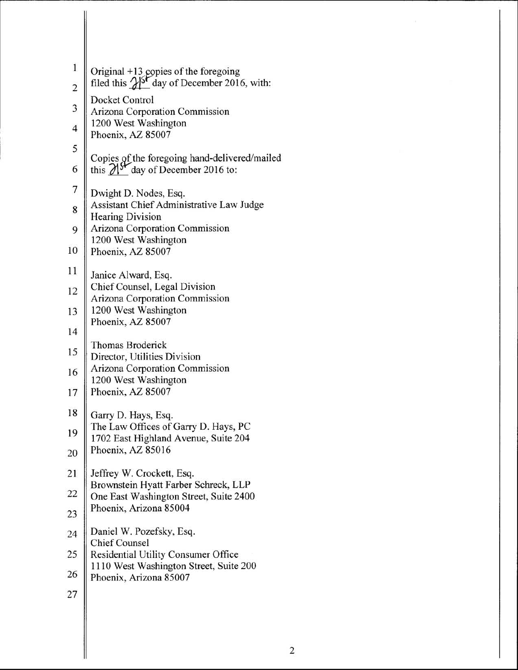| $\mathbf{1}$            | Original +13 copies of the foregoing<br>filed this $\frac{\sqrt{3}}{2}$ day of December 2016, with:        |
|-------------------------|------------------------------------------------------------------------------------------------------------|
| $\overline{c}$          | Docket Control                                                                                             |
| 3                       | Arizona Corporation Commission                                                                             |
| $\overline{\mathbf{4}}$ | 1200 West Washington                                                                                       |
| 5                       | Phoenix, AZ 85007                                                                                          |
| 6                       | Copies of the foregoing hand-delivered/mailed<br>this $\mathcal{N}^{\mathcal{F}}$ day of December 2016 to: |
| 7                       | Dwight D. Nodes, Esq.                                                                                      |
| 8                       | Assistant Chief Administrative Law Judge<br><b>Hearing Division</b>                                        |
| 9                       | <b>Arizona Corporation Commission</b>                                                                      |
| 10                      | 1200 West Washington<br>Phoenix, AZ 85007                                                                  |
| 11                      | Janice Alward, Esq.                                                                                        |
| 12                      | Chief Counsel, Legal Division                                                                              |
| 13                      | Arizona Corporation Commission<br>1200 West Washington                                                     |
|                         | Phoenix, AZ 85007                                                                                          |
| 14                      | Thomas Broderick                                                                                           |
| 15                      | Director, Utilities Division                                                                               |
| 16                      | Arizona Corporation Commission<br>1200 West Washington                                                     |
| 17                      | Phoenix, AZ 85007                                                                                          |
| 18                      | Garry D. Hays, Esq.                                                                                        |
| 19                      | The Law Offices of Garry D. Hays, PC<br>1702 East Highland Avenue, Suite 204                               |
| 20                      | Phoenix, AZ 85016                                                                                          |
| 21                      | Jeffrey W. Crockett, Esq.                                                                                  |
| 22                      | Brownstein Hyatt Farber Schreck, LLP<br>One East Washington Street, Suite 2400                             |
| 23                      | Phoenix, Arizona 85004                                                                                     |
| 24                      | Daniel W. Pozefsky, Esq.                                                                                   |
| 25                      | <b>Chief Counsel</b><br>Residential Utility Consumer Office                                                |
| 26                      | 1110 West Washington Street, Suite 200<br>Phoenix, Arizona 85007                                           |
| 27                      |                                                                                                            |

Ϊ